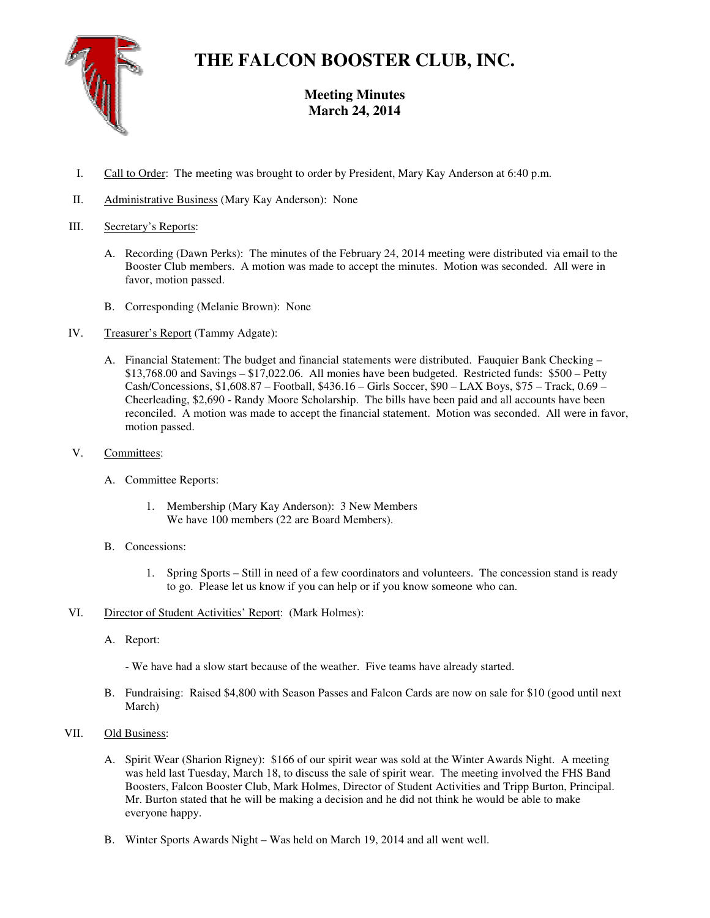

## **THE FALCON BOOSTER CLUB, INC.**

## **Meeting Minutes March 24, 2014**

- I. Call to Order: The meeting was brought to order by President, Mary Kay Anderson at 6:40 p.m.
- II. Administrative Business (Mary Kay Anderson): None

## III. Secretary's Reports:

- A. Recording (Dawn Perks): The minutes of the February 24, 2014 meeting were distributed via email to the Booster Club members. A motion was made to accept the minutes. Motion was seconded. All were in favor, motion passed.
- B. Corresponding (Melanie Brown): None
- IV. Treasurer's Report (Tammy Adgate):
	- A. Financial Statement: The budget and financial statements were distributed. Fauquier Bank Checking \$13,768.00 and Savings – \$17,022.06. All monies have been budgeted. Restricted funds: \$500 – Petty Cash/Concessions, \$1,608.87 – Football, \$436.16 – Girls Soccer, \$90 – LAX Boys, \$75 – Track, 0.69 – Cheerleading, \$2,690 - Randy Moore Scholarship. The bills have been paid and all accounts have been reconciled. A motion was made to accept the financial statement. Motion was seconded. All were in favor, motion passed.
- V. Committees:
	- A. Committee Reports:
		- 1. Membership (Mary Kay Anderson): 3 New Members We have 100 members (22 are Board Members).
	- B. Concessions:
		- 1. Spring Sports Still in need of a few coordinators and volunteers. The concession stand is ready to go. Please let us know if you can help or if you know someone who can.
- VI. Director of Student Activities' Report: (Mark Holmes):
	- A. Report:
		- We have had a slow start because of the weather. Five teams have already started.
	- B. Fundraising: Raised \$4,800 with Season Passes and Falcon Cards are now on sale for \$10 (good until next March)
- VII. Old Business:
	- A. Spirit Wear (Sharion Rigney): \$166 of our spirit wear was sold at the Winter Awards Night. A meeting was held last Tuesday, March 18, to discuss the sale of spirit wear. The meeting involved the FHS Band Boosters, Falcon Booster Club, Mark Holmes, Director of Student Activities and Tripp Burton, Principal. Mr. Burton stated that he will be making a decision and he did not think he would be able to make everyone happy.
	- B. Winter Sports Awards Night Was held on March 19, 2014 and all went well.